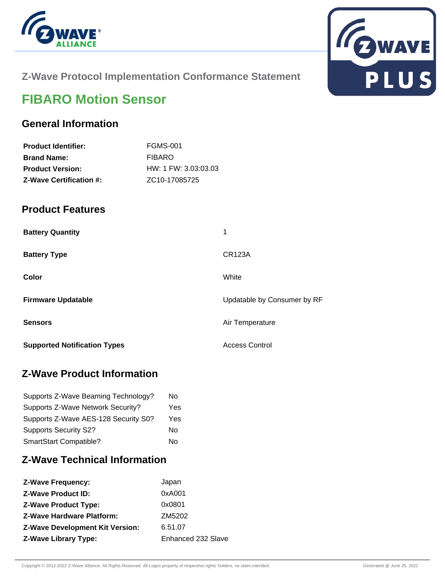



## **Z-Wave Protocol Implementation Conformance Statement**

# **FIBARO Motion Sensor**

## **General Information**

| <b>Product Identifier:</b>     | <b>FGMS-001</b>            |
|--------------------------------|----------------------------|
| <b>Brand Name:</b>             | <b>FIBARO</b>              |
| <b>Product Version:</b>        | HW: 1 FW: 3.03:03.03       |
| <b>Z-Wave Certification #:</b> | ZC <sub>10</sub> -17085725 |

## **Product Features**

| <b>Battery Quantity</b>             | 1                           |  |
|-------------------------------------|-----------------------------|--|
| <b>Battery Type</b>                 | <b>CR123A</b>               |  |
| Color                               | White                       |  |
| <b>Firmware Updatable</b>           | Updatable by Consumer by RF |  |
| <b>Sensors</b>                      | Air Temperature             |  |
| <b>Supported Notification Types</b> | <b>Access Control</b>       |  |

## **Z-Wave Product Information**

| Supports Z-Wave Beaming Technology?  | Nο  |
|--------------------------------------|-----|
| Supports Z-Wave Network Security?    | Yes |
| Supports Z-Wave AES-128 Security S0? | Yes |
| <b>Supports Security S2?</b>         | N٥  |
| SmartStart Compatible?               | N٥  |

## **Z-Wave Technical Information**

| <b>Z-Wave Frequency:</b>               | Japan              |
|----------------------------------------|--------------------|
| <b>Z-Wave Product ID:</b>              | 0xA001             |
| <b>Z-Wave Product Type:</b>            | 0x0801             |
| <b>Z-Wave Hardware Platform:</b>       | ZM5202             |
| <b>Z-Wave Development Kit Version:</b> | 6.51.07            |
| <b>Z-Wave Library Type:</b>            | Enhanced 232 Slave |
|                                        |                    |